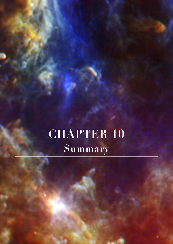## **CHAPTER 10 Summary**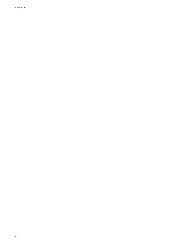chapter 10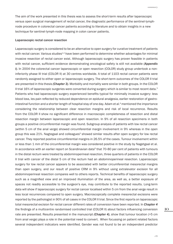The aim of the work presented in this thesis was to assess the short-term results after laparoscopic versus open surgical management of rectal cancer, the diagnostic performance of the sentinel-lymphnode procedure in colorectal cancer patients according to literature and to obtain insights in a new technique for sentinel-lymph-node mapping in colon cancer patients.

## Laparoscopic rectal cancer resection

Laparoscopic surgery is considered to be an alternative to open surgery for curative treatment of patients with rectal cancer. Various studies<sup>1,2</sup> have been performed to determine whether advantages for minimal invasive resection of rectal cancer exist. Although laparoscopic surgery has proven feasible in patients with rectal cancer, sufficient evidence demonstrating oncological safety is still not available *(Appendix I).* In 2004 the colorectal cancer laparoscopic or open resection (COLOR) study group undertook a noninferiority phase III trial (COLOR II) at 30 centres worldwide. A total of 1103 rectal cancer patients were randomly assigned to either open or laparoscopic surgery. The short-term outcomes of the COLOR II trial are presented in this thesis *(Chapter 3)*. Morbidity and mortality were similar in both groups. In the COLOR II trial 16% of laparoscopic surgeries were converted during surgery which is similar to most recent data.<sup>3</sup> Patients who had laparoscopic surgery experienced benefits typical for minimally invasive surgery: less blood loss, les pain reflected by reduced dependence on epidural analgesia, earlier restoration of gastrointestinal function and a shorter length of hospital stay of one day. Adam et al.<sup>4</sup> mentioned the importance considering the relationship between clear resection margins and risk of local recurrence. Results from the COLOR II show no significant difference in macroscopic completeness of resection and distal resection margin between laparoscopic and open resection. In 9% of all resection specimens in both groups a positive circumferential margin was found. Subgroup analysis of patients with low rectal cancer (within 5 cm of the anal verge) showed circumferential margin involvement in 9% whereas in the open group this was 21%. Nagtegaal and colleagues<sup>5</sup> showed similar results after open surgery for low rectal cancer. They reported positive circumferential margins in 26.5% of the cases. Tumour involvement within or less than 1 mm of the circumferential margin was considered positive in the study by Nagetgaal et al. In accordance with an earlier report on Scandinavian data $6$  that 70-80 per cent of patients with tumours in the distal rectum were treated by abdominoperineal resection, three quarters of patients in the COLOR II trial with cancer of the distal 5 cm of the rectum had an abdominoperineal resection. Laparoscopic surgery for low rectal cancer appears to be associated with better circumferential mesorectal margins than open surgery, and our result of positive CRM in 9% without using extralevator excision for all abdominoperineal resection compares well to others reports. Technical benefits of laparoscopic surgery such as a magnified view and an improved illumination of the area, as well as, a better exposure of spaces not readily accessible to the surgeon's eye, may contribute to the reported results. Long-term data will show if laparoscopic surgery for rectal cancer localised within 5 cm from the anal verge result in less local recurrences compared to open surgery. Macroscopically complete mesorectal excisions were reported by the pathologist in 90% of all cases in the COLOR II trial. Since the first reports on laparoscopic total mesorectal excision for rectal cancer different rates of conversion have been reported. In *Chapter 4* the findings of a multicentre randomised controlled trial (COLOR II) about factors influencing conversion rate are presented. Results presented in the manuscript *(Chapter 4)*, show that tumour location (>5 cm from anal verge) plays a role in the potential need to convert. When focussing on patient related factors several independent indicators were identified. Gender was not found to be an independent predictor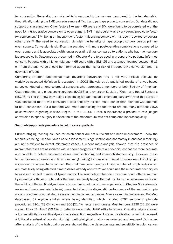for conversion. Generally, the male pelvis is assumed to be narrower compared to the female pelvis, theoretically making the TME procedure more difficult and perhaps prone to conversion. Our data did not support this assumption. Other factors like age > 65 years and BMI were found to be correlated with the need for intraoperative conversion to open surgery. BMI in particular was a very strong predictive factor for conversion.<sup>7</sup> BMI being an independent factor influencing conversion has been reported by several other trials.<sup>8,9</sup> The need for conversion diminish the benefits of laparoscopic surgery versus primary open surgery. Conversion is significant associated with more postoperative complications compared to open surgery and is associated with longer operating times compared to patients who had their surgery laparoscopically. Outcomes as presented in *Chapter 4* are to be used in preoperative patients informed consent. Patients with a higher risk: age > 65 years with a BMI>25 and a tumour located between 5-15 cm from the anal verge should be informed about the higher risk of intraoperative conversion and it's downside effects.

Comparing different randomised trials regarding conversion rate is still very difficult because no worldwide accepted definition is accepted. In 2008 Shawski et al. published results of a web-based survey conducted among colorectal surgeons who represented members of both Society of American Gastrointestinal and endoscopic surgeons (SAGES) and American Society of Colon and Rectal Surgeons (ASCRS) to find out how they define conversion for laparoscopic colorectal surgery.10 After this survey it was concluded that it was considered clear that any incision made earlier than planned was deemed to be a conversion. But a footnote was made addressing the fact there are still many different views of conversion regarding incision length. In the COLOR II trial, a laparoscopic procedure was judged conversion to open surgery if dissection of the mesorectum was not completed laparoscopically.

## Sentinel-lymph-node procedure in colon cancer patients

Current staging techniques used for colon cancer are not sufficient and need improvement. Today the techniques being used for lymph node assessment (singe section and haematoxylin and eosin staining) are not sufficient to detect micrometastases. A recent meta-analysis showed that the presence of micrometastases are associated with a poorer prognosis.11 There are techniques that are more accurate and capable to detect micrometastases (multisectioning and immunohistochemistry). However, these techniques are expensive and time consuming making it impossible to used for assessment of all lymph nodes found in a resected specimen. But what if we could identify a limited number of lymph nodes which are most likely being affected if metastases already occurred? We could use these accurate techniques to assess a limited number of lymph nodes. The sentinel-lymph-node procedure could offer a solution by indentifying those lymph nodes that are most likely being affected. Till today no consensus exists on the validity of the sentinel-lymph-node procedure in colorectal cancer patients. In *Chapter 5* a systematic review and meta-analysis is being presented about the diagnostic performance of the sentinel-lymphnode procedure for nodal status assessment in colorectal cancer. After a search in Embase and PubMed databases, 52 eligible studies where being identified, which included 3767 sentinel-lymph-node procedures (2961 [78.6%] colon and 806 [21.4%] rectal carcinomas). Most tumours 2339 (62.1%) were staged T3 or T4. 1887 (50.1%) of patients were male, 1880 (49.9%) female. Overall analysis showed a low sensitivity for sentinel-lymph-node detection, regardless T stage, localisation or technique used. Additional a subset of reports with high methodological quality was selected and analysed. Outcomes after analysis of the high quality papers showed that the detection rate and sensitivity in colon cancer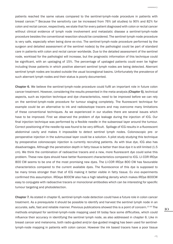patients reached the same values compared to the sentinel-lymph-node procedure in patients with breast cancer.<sup>14</sup> Because the sensitivity can be increased from 76% (all studies) to 90% and 82% for colon and rectal cancer, respectively, we state that for every patient diagnosed with colon or rectal cancer without clinical evidence of lymph node involvement and metastatic disease a sentinel-lymph-node procedure besides the conventional resection should be considered. The sentinel-lymph-node procedure is very safe, especially when being done ex-vivo. The sentinel-lymph-node procedure performed by the surgeon and detailed assessment of the sentinel node(s) by the pathologist could be part of standard care in patients with colon and rectal cancer worldwide. Due to the detailed assessment of the sentinel node, workload for the pathologist will increase, but the prognostic information of this technique could be significant, with an upstaging of 15%. The percentage of upstaged patients could even be higher including those patients in which positive aberrant sentinel lymph nodes are being detected. Aberrant sentinel lymph nodes are located outside the usual locoregional basins. Unfortunately the prevalence of such aberrant lymph nodes and their status is poorly documented.

Chapter 6. We believe the sentinel-lymph-node procedure could fulfil an important role in future colon cancer treatment. However, considering the results presented in the meta-analysis *(Chapter 5)*, technical aspects, such as injection technique and dye characteristics, need to be improved before we can rely on the sentinel-lymph-node procedure for tumour staging completely. The fluorescent technique for example could be an alternative to ink and radioisotope tracers and may overcome many limitations of these conventional techniques. As we experienced in our studies there are several issues which have to be improved. First we observed the problem of dye leakage during the injection of ICG. Our final injection technique was performed by a flexible needle in the subserosal layer around the tumour. Correct positioning of the needle-tip was found to be very difficult. Spillage of ICG results in a fluorescent abdominal cavity and makes it impossible to detect sentinel lymph nodes. Colonoscopic pre- or peroperative injection in the submucosal layer could be a solution. A pilot study studying this technique by preoperative colonoscopic injection is currently recruiting patients. As with blue dye, ICG also has disadvantages. Although the penetration depth in fatty tissue is better than blue dye it is still limited (1.5 cm). We think the combination of radioactive tracers and a new, more fluorescent dye could solve this problem. These new dyes should have better fluorescent characteristics compared to ICG. LI-COR IRDye 800 CW seems to be one of the most promising new dyes. The LI-COR IRDye 800 CW has favourable characteristics compared to the current available dyes. The fluorescence of this dye is supposed to be many times stronger than that of ICG making it better visible in fatty tissue. Ex vivo experiments confirmed this assumption. IRDeye 800CW also has a high labelling density which makes IRDye 800CW easy to conjugate with radioactive tracers or monoclonal antibodies which can be interesting for specific tumour targeting and photodetection.

Chapter 7. As stated in chapter 6, sentinel-lymph-node detection could have a future role in colon cancer treatment. As a prerequisite it should be possible to identify and harvest the sentinel lymph node in an accurate, safe, fast and reliable manner. Previous publications showed this is a point of concern.13-16 The methods employed for sentinel-lymph-node mapping used till today face some difficulties, which could influence their accuracy in identifying the sentinel lymph node, as also addressed in chapter 6. Like in breast cancer and melanoma, both radio-guided and/or dye-guided imaging has been used for sentinellymph-node mapping in patients with colon cancer. However the ink based tracers have a poor tissue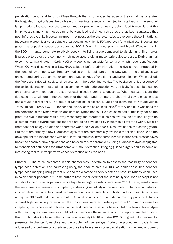penetration depth and tend to diffuse through the lymph nodes because of their small particle size. Radio-guided imaging faces the problem of signal interference of the injection site that is if the sentinel lymph node is located near the tumour. Another problem when using radio-guided tracers is that the lymph vessels and lymph nodes cannot be visualised real time. In this thesis it has been suggested that near-infrared dyes like indocyanine green may possess the characteristics to overcome these limitations. Indocyanine green is a water-soluble tricarbocyanine, which is FDA approved for clinical use. Indocyanine green has a peak spectral absorption at 800-810 nm in blood plasma and blood. Wavelengths in the 800 nm range penetrate relatively deeply into living tissue compared to visible light. This makes it possible to detect the sentinel lymph node accurately in mesenteric adipose tissue. During animal experiments, ICG diluted in 0,9% NaCl only seems not suitable for sentinel lymph node identification. When ICG was dissolved in a NaCl/HSA solution before administration, the dye stayed entrapped in the sentinel lymph node. Confirmatory studies on this topic are on the way. One of the challenges we encountered during our animal experiments was leakage of dye during and after injection. When spilled, the fluorescent dye will stick to all structures in the abdominal cavity. The background fluorescence of the spilled fluorescent material makes sentinel-lymph-node detection very difficult. As described earlier, an alternative method could be submucosal injection during colonoscopy. When leakage occurs the fluorescent dye will drain into the lumen of the colon and not into the abdominal cavity causing less background fluorescence. The group of Marescaux successfully used the technique of Natural Orifice Transluminal Surgery (NOTES) for sentinel biopsy of the colon in six pigs.15 Methylene blue was used for the detection of the lymph vessels and sentinel lymph nodes. Like discussed earlier this may not be the preferred dye in humans with a fatty mesentery and therefore such positive results are not likely to be expected. More powerful fluorescent dyes are being developed by industries all over the world. Most of them face toxicology studies and therefore won't be available for clinical evaluation the coming years. But there are already a few fluorescent dyes that are commercially available for clinical use.<sup>16</sup> With the development of a laparoscope with near-infrared features, intraoperative visualisation of fluorescent dyes becomes possible. New applications can be explored, for example by using fluorescent dyes conjugated to monoclonal antibodies for intraoperative tumour detection. Imaging guided surgery could become an interesting tool for intraoperative cancer detection and eradiation.

Chapter 8. The study presented in this chapter was undertaken to assess the feasibility of sentinellymph-node detection and harvesting using the near-infrared dye ICG. As earlier described sentinellymph-node mapping using patent blue and radioisotope tracers is noted to have limitations when used in colon cancer patients.16,18 Some authors have concluded that the sentinel lymph node concept is not suitable for colon cancer patients, since high false negative ratios were seen.<sup>19-20</sup> However, results from the meta-analysis presented in chapter 5, addressing sensitivity of the sentinel-lymph-node procedure in colorectal cancer patients showed favourable results when selecting for high quality studies. Sensitivities as high as 90% with a detection rate of 96% could be achieved.<sup>21</sup> In addition, recently published studies showed high sensitivity rates when the procedures were accurately performed.<sup>22,23</sup> As discussed in chapter 7, the tracers used in breast cancer and melanoma patients have limitations. Near-infrared dyes with their unique characteristics could help to overcome these limitations. In chapter 8 we clearly show that lymph nodes in obese patients can be adequately identified using ICG. During animal experiments, presented in chapter 7, we observed the problem of dye leakage. During the procedure in patients we addressed this problem by a pre-injection of saline to assure a correct localisation of the needle. Correct